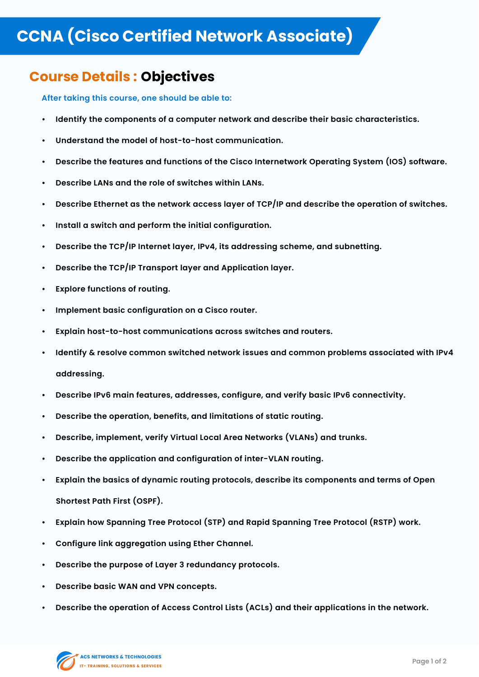## **CCNA (Cisco Certified Network Associate)**

## **Course Details : Objectives**

**After taking this course, one should be able to:**

- **• Identify the components of a computer network and describe their basic characteristics.**
- **• Understand the model of host-to-host communication.**
- **• Describe the features and functions of the Cisco Internetwork Operating System (IOS) software.**
- **• Describe LANs and the role of switches within LANs.**
- **• Describe Ethernet as the network access layer of TCP/IP and describe the operation of switches.**
- **• Install a switch and perform the initial configuration.**
- **• Describe the TCP/IP Internet layer, IPv4, its addressing scheme, and subnetting.**
- **• Describe the TCP/IP Transport layer and Application layer.**
- **• Explore functions of routing.**
- **• Implement basic configuration on a Cisco router.**
- **• Explain host-to-host communications across switches and routers.**
- **• Identify & resolve common switched network issues and common problems associated with IPv4**

## **addressing.**

- **• Describe IPv6 main features, addresses, configure, and verify basic IPv6 connectivity.**
- **• Describe the operation, benefits, and limitations of static routing.**
- **• Describe, implement, verify Virtual Local Area Networks (VLANs) and trunks.**
- **• Describe the application and configuration of inter-VLAN routing.**
- **• Explain the basics of dynamic routing protocols, describe its components and terms of Open**

## **Shortest Path First (OSPF).**

- **• Explain how Spanning Tree Protocol (STP) and Rapid Spanning Tree Protocol (RSTP) work.**
- **• Configure link aggregation using Ether Channel.**
- **• Describe the purpose of Layer 3 redundancy protocols.**
- **• Describe basic WAN and VPN concepts.**
- **• Describe the operation of Access Control Lists (ACLs) and their applications in the network.**